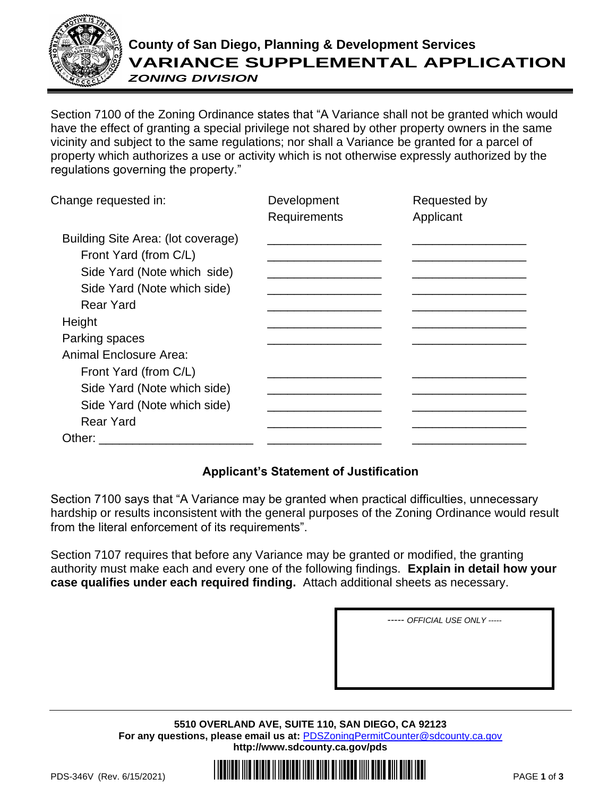

## **County of San Diego, Planning & Development Services VARIANCE SUPPLEMENTAL APPLICATION** *ZONING DIVISION*

Section 7100 of the Zoning Ordinance states that "A Variance shall not be granted which would have the effect of granting a special privilege not shared by other property owners in the same vicinity and subject to the same regulations; nor shall a Variance be granted for a parcel of property which authorizes a use or activity which is not otherwise expressly authorized by the regulations governing the property."

| Change requested in:                                                                                                                          | Development<br>Requirements | Requested by<br>Applicant |
|-----------------------------------------------------------------------------------------------------------------------------------------------|-----------------------------|---------------------------|
| Building Site Area: (lot coverage)<br>Front Yard (from C/L)<br>Side Yard (Note which side)<br>Side Yard (Note which side)<br><b>Rear Yard</b> |                             |                           |
| Height                                                                                                                                        |                             |                           |
| Parking spaces                                                                                                                                |                             |                           |
| Animal Enclosure Area:<br>Front Yard (from C/L)                                                                                               |                             |                           |
| Side Yard (Note which side)                                                                                                                   |                             |                           |
| Side Yard (Note which side)                                                                                                                   |                             |                           |
| <b>Rear Yard</b>                                                                                                                              |                             |                           |
| Other: $\overline{\phantom{a}}$                                                                                                               |                             |                           |

## **Applicant's Statement of Justification**

Section 7100 says that "A Variance may be granted when practical difficulties, unnecessary hardship or results inconsistent with the general purposes of the Zoning Ordinance would result from the literal enforcement of its requirements".

Section 7107 requires that before any Variance may be granted or modified, the granting authority must make each and every one of the following findings. **Explain in detail how your case qualifies under each required finding.** Attach additional sheets as necessary.

*----- OFFICIAL USE ONLY -----*

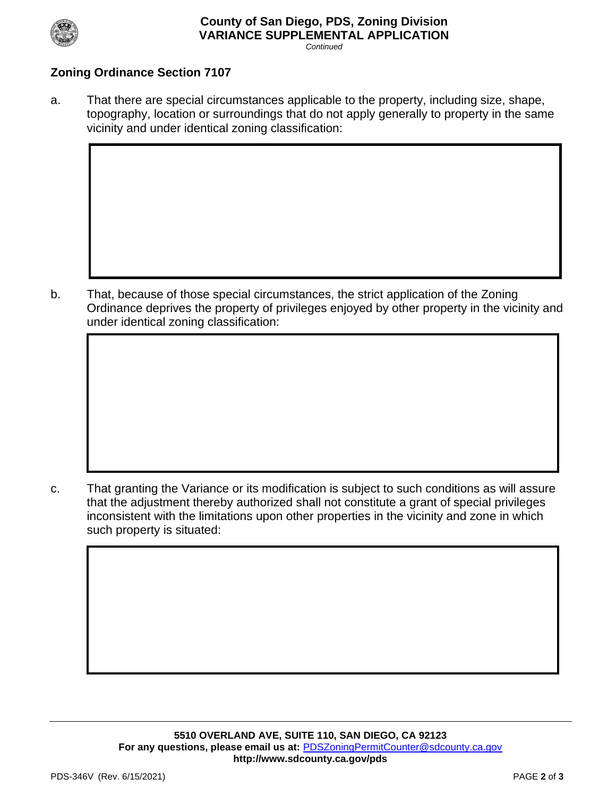

## **County of San Diego, PDS, Zoning Division VARIANCE SUPPLEMENTAL APPLICATION** *Continued*

## **Zoning Ordinance Section 7107**

a. That there are special circumstances applicable to the property, including size, shape, topography, location or surroundings that do not apply generally to property in the same vicinity and under identical zoning classification:

b. That, because of those special circumstances, the strict application of the Zoning Ordinance deprives the property of privileges enjoyed by other property in the vicinity and under identical zoning classification:

c. That granting the Variance or its modification is subject to such conditions as will assure that the adjustment thereby authorized shall not constitute a grant of special privileges inconsistent with the limitations upon other properties in the vicinity and zone in which such property is situated: